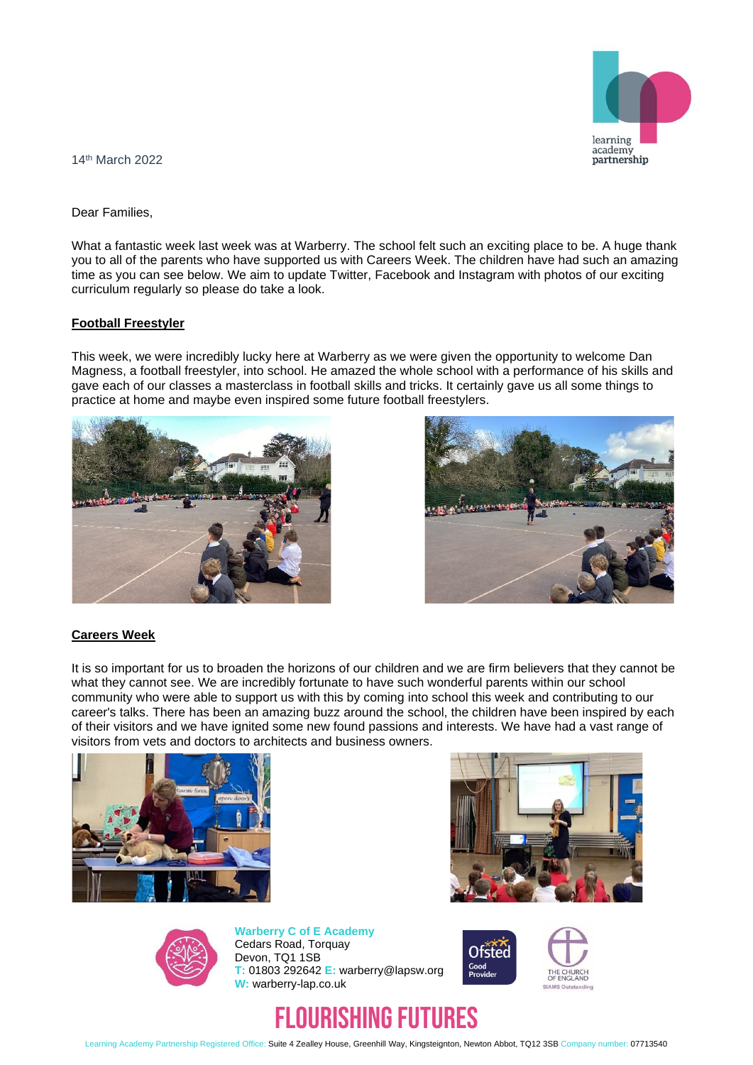

14th March 2022

Dear Families,

What a fantastic week last week was at Warberry. The school felt such an exciting place to be. A huge thank you to all of the parents who have supported us with Careers Week. The children have had such an amazing time as you can see below. We aim to update Twitter, Facebook and Instagram with photos of our exciting curriculum regularly so please do take a look.

## **Football Freestyler**

This week, we were incredibly lucky here at Warberry as we were given the opportunity to welcome Dan Magness, a football freestyler, into school. He amazed the whole school with a performance of his skills and gave each of our classes a masterclass in football skills and tricks. It certainly gave us all some things to practice at home and maybe even inspired some future football freestylers.





## **Careers Week**

It is so important for us to broaden the horizons of our children and we are firm believers that they cannot be what they cannot see. We are incredibly fortunate to have such wonderful parents within our school community who were able to support us with this by coming into school this week and contributing to our career's talks. There has been an amazing buzz around the school, the children have been inspired by each of their visitors and we have ignited some new found passions and interests. We have had a vast range of visitors from vets and doctors to architects and business owners.







**Warberry C of E Academy** Cedars Road, Torquay Devon, TQ1 1SB **T:** 01803 292642 **E:** warberry@lapsw.org **W:** warberry-lap.co.uk



# FLOURISHING FUTURES

Learning Academy Partnership Registered Office: Suite 4 Zealley House, Greenhill Way, Kingsteignton, Newton Abbot, TQ12 3SB Company number: 07713540